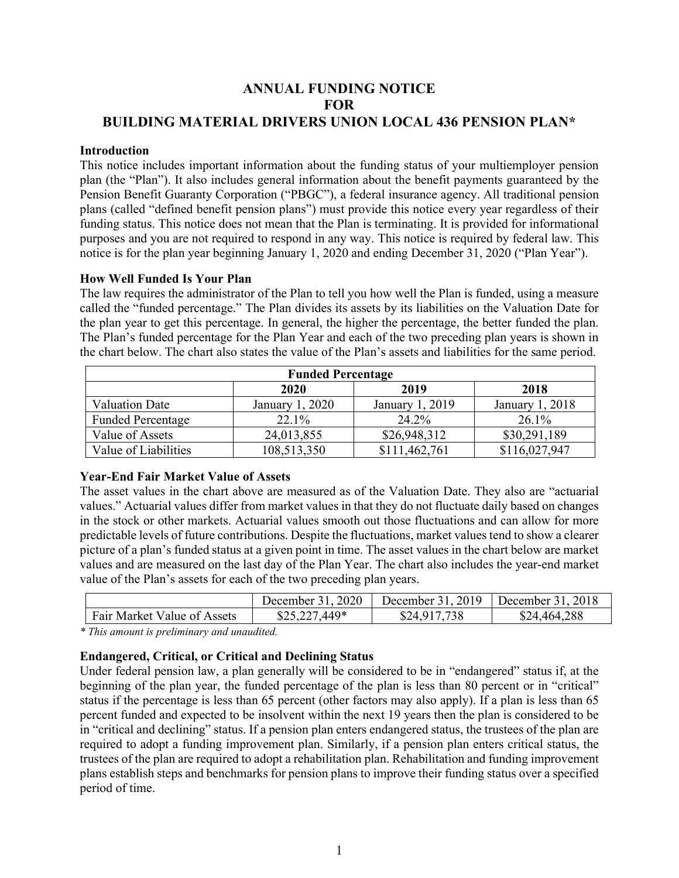# **ANNUAL FUNDING NOTICE FOR BUILDING MATERIAL DRIVERS UNION LOCAL 436 PENSION PLAN\***

### **Introduction**

This notice includes important information about the funding status of your multiemployer pension plan (the "Plan"). It also includes general information about the benefit payments guaranteed by the Pension Benefit Guaranty Corporation ("PBGC"), a federal insurance agency. All traditional pension plans (called "defined benefit pension plans") must provide this notice every year regardless of their funding status. This notice does not mean that the Plan is terminating. It is provided for informational purposes and you are not required to respond in any way. This notice is required by federal law. This notice is for the plan year beginning January 1, 2020 and ending December 31, 2020 ("Plan Year").

### **How Well Funded Is Your Plan**

The law requires the administrator of the Plan to tell you how well the Plan is funded, using a measure called the "funded percentage." The Plan divides its assets by its liabilities on the Valuation Date for the plan year to get this percentage. In general, the higher the percentage, the better funded the plan. The Plan's funded percentage for the Plan Year and each of the two preceding plan years is shown in the chart below. The chart also states the value of the Plan's assets and liabilities for the same period.

| <b>Funded Percentage</b> |                 |                 |                 |  |  |
|--------------------------|-----------------|-----------------|-----------------|--|--|
|                          | 2020            | 2019            | 2018            |  |  |
| <b>Valuation Date</b>    | January 1, 2020 | January 1, 2019 | January 1, 2018 |  |  |
| <b>Funded Percentage</b> | $22.1\%$        | 24.2%           | 26.1%           |  |  |
| Value of Assets          | 24,013,855      | \$26,948,312    | \$30,291,189    |  |  |
| Value of Liabilities     | 108,513,350     | \$111,462,761   | \$116,027,947   |  |  |

## **Year-End Fair Market Value of Assets**

The asset values in the chart above are measured as of the Valuation Date. They also are "actuarial values." Actuarial values differ from market values in that they do not fluctuate daily based on changes in the stock or other markets. Actuarial values smooth out those fluctuations and can allow for more predictable levels of future contributions. Despite the fluctuations, market values tend to show a clearer picture of a plan's funded status at a given point in time. The asset values in the chart below are market values and are measured on the last day of the Plan Year. The chart also includes the year-end market value of the Plan's assets for each of the two preceding plan years.

|                             | December 31, 2020 | December 31, 2019 | December 31, 2018 |
|-----------------------------|-------------------|-------------------|-------------------|
| Fair Market Value of Assets | $$25,227,449*$    | \$24,917,738      | \$24,464,288      |

*\* This amount is preliminary and unaudited.*

## **Endangered, Critical, or Critical and Declining Status**

Under federal pension law, a plan generally will be considered to be in "endangered" status if, at the beginning of the plan year, the funded percentage of the plan is less than 80 percent or in "critical" status if the percentage is less than 65 percent (other factors may also apply). If a plan is less than 65 percent funded and expected to be insolvent within the next 19 years then the plan is considered to be in "critical and declining" status. If a pension plan enters endangered status, the trustees of the plan are required to adopt a funding improvement plan. Similarly, if a pension plan enters critical status, the trustees of the plan are required to adopt a rehabilitation plan. Rehabilitation and funding improvement plans establish steps and benchmarks for pension plans to improve their funding status over a specified period of time.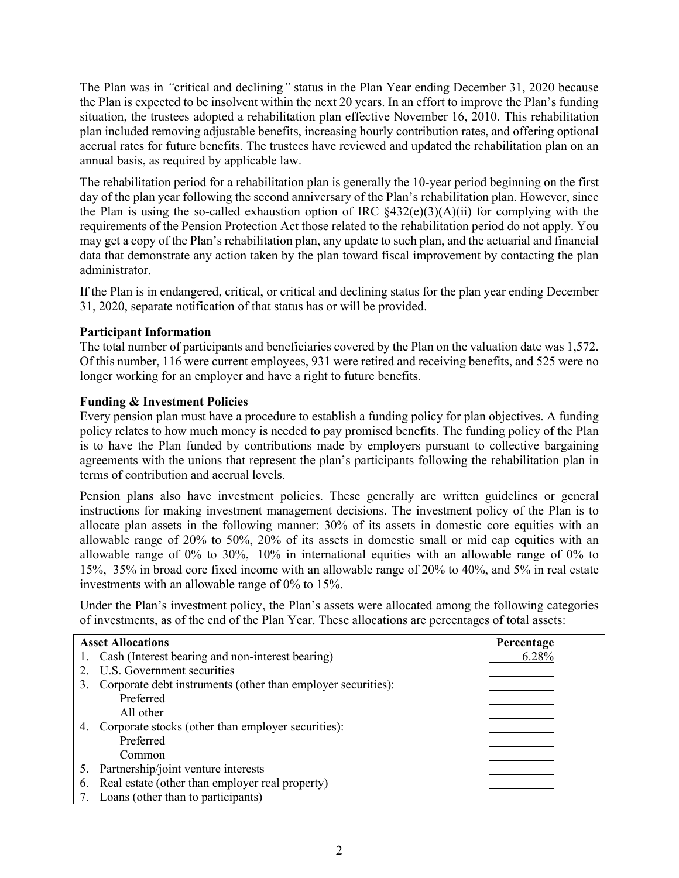The Plan was in *"*critical and declining*"* status in the Plan Year ending December 31, 2020 because the Plan is expected to be insolvent within the next 20 years. In an effort to improve the Plan's funding situation, the trustees adopted a rehabilitation plan effective November 16, 2010. This rehabilitation plan included removing adjustable benefits, increasing hourly contribution rates, and offering optional accrual rates for future benefits. The trustees have reviewed and updated the rehabilitation plan on an annual basis, as required by applicable law.

The rehabilitation period for a rehabilitation plan is generally the 10-year period beginning on the first day of the plan year following the second anniversary of the Plan's rehabilitation plan. However, since the Plan is using the so-called exhaustion option of IRC  $\frac{\xi}{3}(432(e)(3)(A)(ii)$  for complying with the requirements of the Pension Protection Act those related to the rehabilitation period do not apply. You may get a copy of the Plan's rehabilitation plan, any update to such plan, and the actuarial and financial data that demonstrate any action taken by the plan toward fiscal improvement by contacting the plan administrator.

If the Plan is in endangered, critical, or critical and declining status for the plan year ending December 31, 2020, separate notification of that status has or will be provided.

## **Participant Information**

The total number of participants and beneficiaries covered by the Plan on the valuation date was 1,572. Of this number, 116 were current employees, 931 were retired and receiving benefits, and 525 were no longer working for an employer and have a right to future benefits.

### **Funding & Investment Policies**

Every pension plan must have a procedure to establish a funding policy for plan objectives. A funding policy relates to how much money is needed to pay promised benefits. The funding policy of the Plan is to have the Plan funded by contributions made by employers pursuant to collective bargaining agreements with the unions that represent the plan's participants following the rehabilitation plan in terms of contribution and accrual levels.

Pension plans also have investment policies. These generally are written guidelines or general instructions for making investment management decisions. The investment policy of the Plan is to allocate plan assets in the following manner: 30% of its assets in domestic core equities with an allowable range of 20% to 50%, 20% of its assets in domestic small or mid cap equities with an allowable range of 0% to 30%, 10% in international equities with an allowable range of 0% to 15%, 35% in broad core fixed income with an allowable range of 20% to 40%, and 5% in real estate investments with an allowable range of 0% to 15%.

Under the Plan's investment policy, the Plan's assets were allocated among the following categories of investments, as of the end of the Plan Year. These allocations are percentages of total assets:

| <b>Asset Allocations</b><br>Percentage |                                                              |       |
|----------------------------------------|--------------------------------------------------------------|-------|
|                                        | 1. Cash (Interest bearing and non-interest bearing)          | 6.28% |
|                                        | U.S. Government securities                                   |       |
| 3.                                     | Corporate debt instruments (other than employer securities): |       |
|                                        | Preferred                                                    |       |
|                                        | All other                                                    |       |
|                                        | Corporate stocks (other than employer securities):           |       |
|                                        | Preferred                                                    |       |
|                                        | Common                                                       |       |
|                                        | Partnership/joint venture interests                          |       |
| 6.                                     | Real estate (other than employer real property)              |       |
|                                        | 7. Loans (other than to participants)                        |       |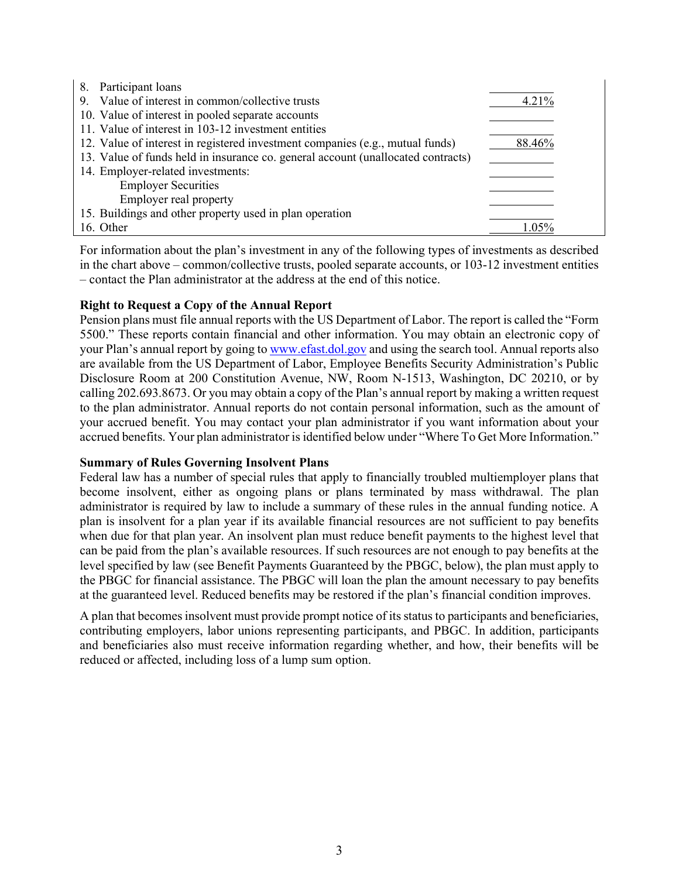| Participant loans<br>8.                                                          |        |
|----------------------------------------------------------------------------------|--------|
| 9. Value of interest in common/collective trusts                                 | 4.21%  |
| 10. Value of interest in pooled separate accounts                                |        |
| 11. Value of interest in 103-12 investment entities                              |        |
| 12. Value of interest in registered investment companies (e.g., mutual funds)    | 88.46% |
| 13. Value of funds held in insurance co. general account (unallocated contracts) |        |
| 14. Employer-related investments:                                                |        |
| <b>Employer Securities</b>                                                       |        |
| Employer real property                                                           |        |
| 15. Buildings and other property used in plan operation                          |        |
| 16. Other                                                                        | 1.05%  |

For information about the plan's investment in any of the following types of investments as described in the chart above – common/collective trusts, pooled separate accounts, or 103-12 investment entities – contact the Plan administrator at the address at the end of this notice.

## **Right to Request a Copy of the Annual Report**

Pension plans must file annual reports with the US Department of Labor. The report is called the "Form 5500." These reports contain financial and other information. You may obtain an electronic copy of your Plan's annual report by going t[o www.efast.dol.gov](http://www.efast.dol.gov/) and using the search tool. Annual reports also are available from the US Department of Labor, Employee Benefits Security Administration's Public Disclosure Room at 200 Constitution Avenue, NW, Room N-1513, Washington, DC 20210, or by calling 202.693.8673. Or you may obtain a copy of the Plan's annual report by making a written request to the plan administrator. Annual reports do not contain personal information, such as the amount of your accrued benefit. You may contact your plan administrator if you want information about your accrued benefits. Your plan administrator is identified below under "Where To Get More Information."

## **Summary of Rules Governing Insolvent Plans**

Federal law has a number of special rules that apply to financially troubled multiemployer plans that become insolvent, either as ongoing plans or plans terminated by mass withdrawal. The plan administrator is required by law to include a summary of these rules in the annual funding notice. A plan is insolvent for a plan year if its available financial resources are not sufficient to pay benefits when due for that plan year. An insolvent plan must reduce benefit payments to the highest level that can be paid from the plan's available resources. If such resources are not enough to pay benefits at the level specified by law (see Benefit Payments Guaranteed by the PBGC, below), the plan must apply to the PBGC for financial assistance. The PBGC will loan the plan the amount necessary to pay benefits at the guaranteed level. Reduced benefits may be restored if the plan's financial condition improves.

A plan that becomes insolvent must provide prompt notice of its status to participants and beneficiaries, contributing employers, labor unions representing participants, and PBGC. In addition, participants and beneficiaries also must receive information regarding whether, and how, their benefits will be reduced or affected, including loss of a lump sum option.